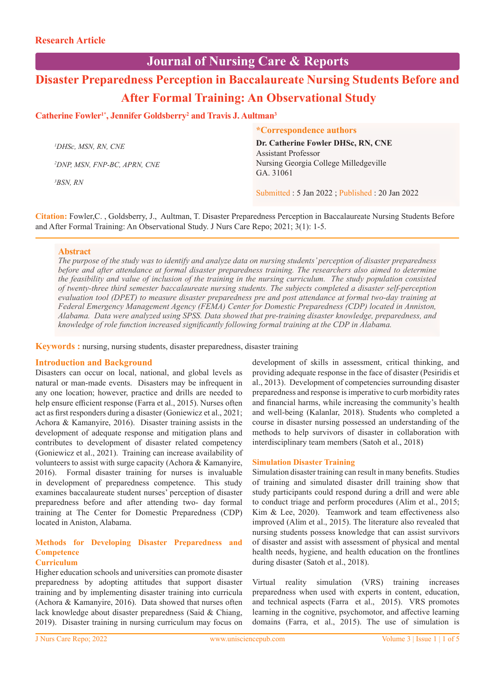# **Journal of Nursing Care & Reports**

# **Disaster Preparedness Perception in Baccalaureate Nursing Students Before and After Formal Training: An Observational Study**

# Catherine Fowler<sup>1\*</sup>, Jennifer Goldsberry<sup>2</sup> and Travis J. Aultman<sup>3</sup>

|                                          | <i>*Correspondence authors</i>                |
|------------------------------------------|-----------------------------------------------|
| <sup>1</sup> DHSc, MSN, RN, CNE          | Dr. Catherine Fowler DHSc, RN, CNE            |
|                                          | <b>Assistant Professor</b>                    |
| <sup>2</sup> DNP, MSN, FNP-BC, APRN, CNE | Nursing Georgia College Milledgeville         |
|                                          | GA. 31061                                     |
| 3BSN. RN                                 |                                               |
|                                          | Submitted: 5 Jan 2022; Published: 20 Jan 2022 |

**Citation:** Fowler,C. , Goldsberry, J., Aultman, T. Disaster Preparedness Perception in Baccalaureate Nursing Students Before and After Formal Training: An Observational Study. J Nurs Care Repo; 2021; 3(1): 1-5.

# **Abstract**

*The purpose of the study was to identify and analyze data on nursing students' perception of disaster preparedness before and after attendance at formal disaster preparedness training. The researchers also aimed to determine the feasibility and value of inclusion of the training in the nursing curriculum. The study population consisted of twenty-three third semester baccalaureate nursing students. The subjects completed a disaster self-perception evaluation tool (DPET) to measure disaster preparedness pre and post attendance at formal two-day training at Federal Emergency Management Agency (FEMA) Center for Domestic Preparedness (CDP) located in Anniston, Alabama. Data were analyzed using SPSS. Data showed that pre-training disaster knowledge, preparedness, and knowledge of role function increased significantly following formal training at the CDP in Alabama.* 

**Keywords :** nursing, nursing students, disaster preparedness, disaster training

# **Introduction and Background**

Disasters can occur on local, national, and global levels as natural or man-made events. Disasters may be infrequent in any one location; however, practice and drills are needed to help ensure efficient response (Farra et al., 2015). Nurses often act as first responders during a disaster (Goniewicz et al., 2021; Achora & Kamanyire, 2016). Disaster training assists in the development of adequate response and mitigation plans and contributes to development of disaster related competency (Goniewicz et al., 2021). Training can increase availability of volunteers to assist with surge capacity (Achora & Kamanyire, 2016). Formal disaster training for nurses is invaluable in development of preparedness competence. This study examines baccalaureate student nurses' perception of disaster preparedness before and after attending two- day formal training at The Center for Domestic Preparedness (CDP) located in Aniston, Alabama.

# **Methods for Developing Disaster Preparedness and Competence**

# **Curriculum**

Higher education schools and universities can promote disaster preparedness by adopting attitudes that support disaster training and by implementing disaster training into curricula (Achora & Kamanyire, 2016). Data showed that nurses often lack knowledge about disaster preparedness (Said & Chiang, 2019). Disaster training in nursing curriculum may focus on development of skills in assessment, critical thinking, and providing adequate response in the face of disaster (Pesiridis et al., 2013). Development of competencies surrounding disaster preparedness and response is imperative to curb morbidity rates and financial harms, while increasing the community's health and well-being (Kalanlar, 2018). Students who completed a course in disaster nursing possessed an understanding of the methods to help survivors of disaster in collaboration with interdisciplinary team members (Satoh et al., 2018)

# **Simulation Disaster Training**

Simulation disaster training can result in many benefits. Studies of training and simulated disaster drill training show that study participants could respond during a drill and were able to conduct triage and perform procedures (Alim et al., 2015; Kim & Lee, 2020). Teamwork and team effectiveness also improved (Alim et al., 2015). The literature also revealed that nursing students possess knowledge that can assist survivors of disaster and assist with assessment of physical and mental health needs, hygiene, and health education on the frontlines during disaster (Satoh et al., 2018).

Virtual reality simulation (VRS) training increases preparedness when used with experts in content, education, and technical aspects (Farra et al., 2015). VRS promotes learning in the cognitive, psychomotor, and affective learning domains (Farra, et al., 2015). The use of simulation is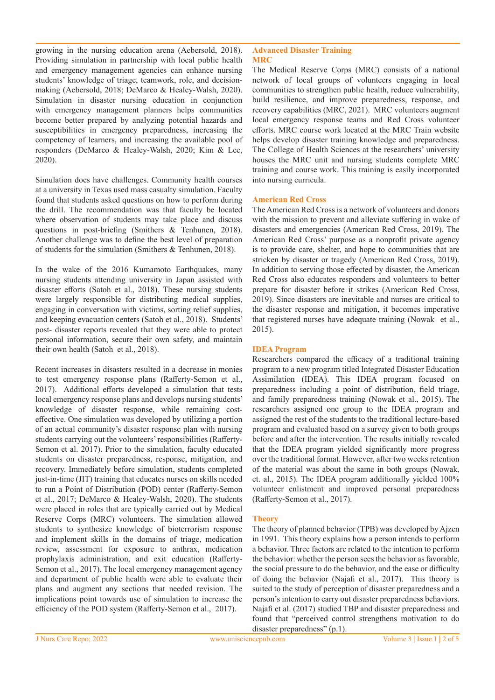growing in the nursing education arena (Aebersold, 2018). Providing simulation in partnership with local public health and emergency management agencies can enhance nursing students' knowledge of triage, teamwork, role, and decisionmaking (Aebersold, 2018; DeMarco & Healey-Walsh, 2020). Simulation in disaster nursing education in conjunction with emergency management planners helps communities become better prepared by analyzing potential hazards and susceptibilities in emergency preparedness, increasing the competency of learners, and increasing the available pool of responders (DeMarco & Healey-Walsh, 2020; Kim & Lee, 2020).

Simulation does have challenges. Community health courses at a university in Texas used mass casualty simulation. Faculty found that students asked questions on how to perform during the drill. The recommendation was that faculty be located where observation of students may take place and discuss questions in post-briefing (Smithers & Tenhunen, 2018). Another challenge was to define the best level of preparation of students for the simulation (Smithers & Tenhunen, 2018).

In the wake of the 2016 Kumamoto Earthquakes, many nursing students attending university in Japan assisted with disaster efforts (Satoh et al., 2018). These nursing students were largely responsible for distributing medical supplies, engaging in conversation with victims, sorting relief supplies, and keeping evacuation centers (Satoh et al., 2018). Students' post- disaster reports revealed that they were able to protect personal information, secure their own safety, and maintain their own health (Satoh et al., 2018).

Recent increases in disasters resulted in a decrease in monies to test emergency response plans (Rafferty-Semon et al., 2017). Additional efforts developed a simulation that tests local emergency response plans and develops nursing students' knowledge of disaster response, while remaining costeffective. One simulation was developed by utilizing a portion of an actual community's disaster response plan with nursing students carrying out the volunteers' responsibilities (Rafferty-Semon et al. 2017). Prior to the simulation, faculty educated students on disaster preparedness, response, mitigation, and recovery. Immediately before simulation, students completed just-in-time (JIT) training that educates nurses on skills needed to run a Point of Distribution (POD) center (Rafferty-Semon et al., 2017; DeMarco & Healey-Walsh, 2020). The students were placed in roles that are typically carried out by Medical Reserve Corps (MRC) volunteers. The simulation allowed students to synthesize knowledge of bioterrorism response and implement skills in the domains of triage, medication review, assessment for exposure to anthrax, medication prophylaxis administration, and exit education (Rafferty-Semon et al., 2017). The local emergency management agency and department of public health were able to evaluate their plans and augment any sections that needed revision. The implications point towards use of simulation to increase the efficiency of the POD system (Rafferty-Semon et al., 2017).

#### **Advanced Disaster Training MRC**

The Medical Reserve Corps (MRC) consists of a national network of local groups of volunteers engaging in local communities to strengthen public health, reduce vulnerability, build resilience, and improve preparedness, response, and recovery capabilities (MRC, 2021). MRC volunteers augment local emergency response teams and Red Cross volunteer efforts. MRC course work located at the MRC Train website helps develop disaster training knowledge and preparedness. The College of Health Sciences at the researchers' university houses the MRC unit and nursing students complete MRC training and course work. This training is easily incorporated into nursing curricula.

#### **American Red Cross**

The American Red Cross is a network of volunteers and donors with the mission to prevent and alleviate suffering in wake of disasters and emergencies (American Red Cross, 2019). The American Red Cross' purpose as a nonprofit private agency is to provide care, shelter, and hope to communities that are stricken by disaster or tragedy (American Red Cross, 2019). In addition to serving those effected by disaster, the American Red Cross also educates responders and volunteers to better prepare for disaster before it strikes (American Red Cross, 2019). Since disasters are inevitable and nurses are critical to the disaster response and mitigation, it becomes imperative that registered nurses have adequate training (Nowak et al., 2015).

### **IDEA Program**

Researchers compared the efficacy of a traditional training program to a new program titled Integrated Disaster Education Assimilation (IDEA). This IDEA program focused on preparedness including a point of distribution, field triage, and family preparedness training (Nowak et al., 2015). The researchers assigned one group to the IDEA program and assigned the rest of the students to the traditional lecture-based program and evaluated based on a survey given to both groups before and after the intervention. The results initially revealed that the IDEA program yielded significantly more progress over the traditional format. However, after two weeks retention of the material was about the same in both groups (Nowak, et. al., 2015). The IDEA program additionally yielded 100% volunteer enlistment and improved personal preparedness (Rafferty-Semon et al., 2017).

# **Theory**

The theory of planned behavior (TPB) was developed by Ajzen in 1991. This theory explains how a person intends to perform a behavior. Three factors are related to the intention to perform the behavior: whether the person sees the behavior as favorable, the social pressure to do the behavior, and the ease or difficulty of doing the behavior (Najafi et al., 2017). This theory is suited to the study of perception of disaster preparedness and a person's intention to carry out disaster preparedness behaviors. Najafi et al. (2017) studied TBP and disaster preparedness and found that "perceived control strengthens motivation to do disaster preparedness" (p.1).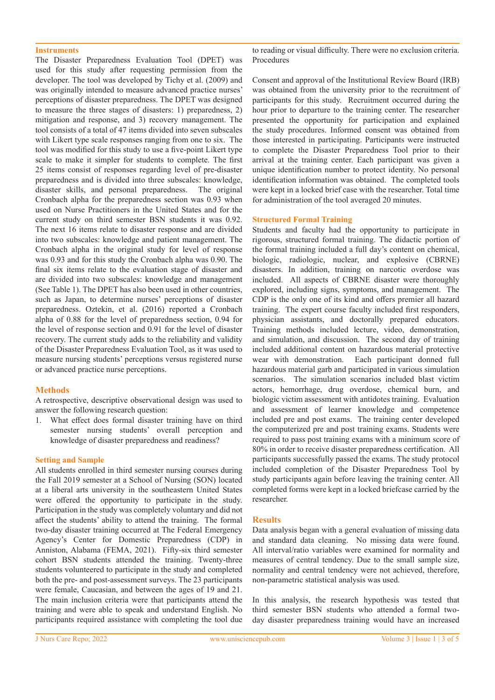#### **Instruments**

The Disaster Preparedness Evaluation Tool (DPET) was used for this study after requesting permission from the developer. The tool was developed by Tichy et al. (2009) and was originally intended to measure advanced practice nurses' perceptions of disaster preparedness. The DPET was designed to measure the three stages of disasters: 1) preparedness, 2) mitigation and response, and 3) recovery management. The tool consists of a total of 47 items divided into seven subscales with Likert type scale responses ranging from one to six. The tool was modified for this study to use a five-point Likert type scale to make it simpler for students to complete. The first 25 items consist of responses regarding level of pre-disaster preparedness and is divided into three subscales: knowledge, disaster skills, and personal preparedness. The original Cronbach alpha for the preparedness section was 0.93 when used on Nurse Practitioners in the United States and for the current study on third semester BSN students it was 0.92. The next 16 items relate to disaster response and are divided into two subscales: knowledge and patient management. The Cronbach alpha in the original study for level of response was 0.93 and for this study the Cronbach alpha was 0.90. The final six items relate to the evaluation stage of disaster and are divided into two subscales: knowledge and management (See Table 1). The DPET has also been used in other countries, such as Japan, to determine nurses' perceptions of disaster preparedness. Oztekin, et al. (2016) reported a Cronbach alpha of 0.88 for the level of preparedness section, 0.94 for the level of response section and 0.91 for the level of disaster recovery. The current study adds to the reliability and validity of the Disaster Preparedness Evaluation Tool, as it was used to measure nursing students' perceptions versus registered nurse or advanced practice nurse perceptions.

#### **Methods**

A retrospective, descriptive observational design was used to answer the following research question:

1. What effect does formal disaster training have on third semester nursing students' overall perception and knowledge of disaster preparedness and readiness?

#### **Setting and Sample**

All students enrolled in third semester nursing courses during the Fall 2019 semester at a School of Nursing (SON) located at a liberal arts university in the southeastern United States were offered the opportunity to participate in the study. Participation in the study was completely voluntary and did not affect the students' ability to attend the training. The formal two-day disaster training occurred at The Federal Emergency Agency's Center for Domestic Preparedness (CDP) in Anniston, Alabama (FEMA, 2021). Fifty-six third semester cohort BSN students attended the training. Twenty-three students volunteered to participate in the study and completed both the pre- and post-assessment surveys. The 23 participants were female, Caucasian, and between the ages of 19 and 21. The main inclusion criteria were that participants attend the training and were able to speak and understand English. No participants required assistance with completing the tool due

to reading or visual difficulty. There were no exclusion criteria. Procedures

Consent and approval of the Institutional Review Board (IRB) was obtained from the university prior to the recruitment of participants for this study. Recruitment occurred during the hour prior to departure to the training center. The researcher presented the opportunity for participation and explained the study procedures. Informed consent was obtained from those interested in participating. Participants were instructed to complete the Disaster Preparedness Tool prior to their arrival at the training center. Each participant was given a unique identification number to protect identity. No personal identification information was obtained. The completed tools were kept in a locked brief case with the researcher. Total time for administration of the tool averaged 20 minutes.

#### **Structured Formal Training**

Students and faculty had the opportunity to participate in rigorous, structured formal training. The didactic portion of the formal training included a full day's content on chemical, biologic, radiologic, nuclear, and explosive (CBRNE) disasters. In addition, training on narcotic overdose was included. All aspects of CBRNE disaster were thoroughly explored, including signs, symptoms, and management. The CDP is the only one of its kind and offers premier all hazard training. The expert course faculty included first responders, physician assistants, and doctorally prepared educators. Training methods included lecture, video, demonstration, and simulation, and discussion. The second day of training included additional content on hazardous material protective wear with demonstration. Each participant donned full hazardous material garb and participated in various simulation scenarios. The simulation scenarios included blast victim actors, hemorrhage, drug overdose, chemical burn, and biologic victim assessment with antidotes training. Evaluation and assessment of learner knowledge and competence included pre and post exams. The training center developed the computerized pre and post training exams. Students were required to pass post training exams with a minimum score of 80% in order to receive disaster preparedness certification. All participants successfully passed the exams. The study protocol included completion of the Disaster Preparedness Tool by study participants again before leaving the training center. All completed forms were kept in a locked briefcase carried by the researcher.

#### **Results**

Data analysis began with a general evaluation of missing data and standard data cleaning. No missing data were found. All interval/ratio variables were examined for normality and measures of central tendency. Due to the small sample size, normality and central tendency were not achieved, therefore, non-parametric statistical analysis was used.

In this analysis, the research hypothesis was tested that third semester BSN students who attended a formal twoday disaster preparedness training would have an increased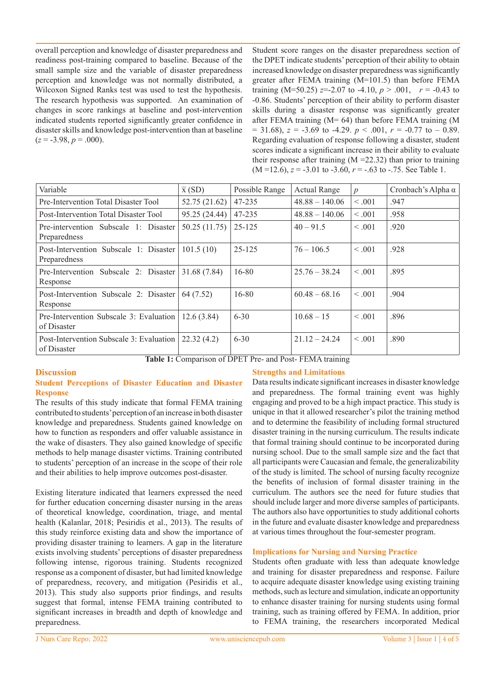overall perception and knowledge of disaster preparedness and readiness post-training compared to baseline. Because of the small sample size and the variable of disaster preparedness perception and knowledge was not normally distributed, a Wilcoxon Signed Ranks test was used to test the hypothesis. The research hypothesis was supported. An examination of changes in score rankings at baseline and post-intervention indicated students reported significantly greater confidence in disaster skills and knowledge post-intervention than at baseline  $(z = -3.98, p = .000)$ .

Student score ranges on the disaster preparedness section of the DPET indicate students' perception of their ability to obtain increased knowledge on disaster preparedness was significantly greater after FEMA training (M=101.5) than before FEMA training (M=50.25)  $z=-2.07$  to  $-4.10$ ,  $p > .001$ ,  $r = -0.43$  to -0.86. Students' perception of their ability to perform disaster skills during a disaster response was significantly greater after FEMA training ( $M = 64$ ) than before FEMA training (M  $= 31.68$ ,  $z = -3.69$  to  $-4.29$ .  $p < .001$ ,  $r = -0.77$  to  $-0.89$ . Regarding evaluation of response following a disaster, student scores indicate a significant increase in their ability to evaluate their response after training  $(M = 22.32)$  than prior to training  $(M = 12.6)$ ,  $z = -3.01$  to  $-3.60$ ,  $r = -0.63$  to  $-0.75$ . See Table 1.

| Variable                                                | $\overline{x}$ (SD) | Possible Range | <b>Actual Range</b> | $\overline{p}$ | Cronbach's Alpha $\alpha$ |
|---------------------------------------------------------|---------------------|----------------|---------------------|----------------|---------------------------|
| Pre-Intervention Total Disaster Tool                    | 52.75 (21.62)       | 47-235         | $48.88 - 140.06$    | < .001         | .947                      |
| Post-Intervention Total Disaster Tool                   | 95.25 (24.44)       | 47-235         | $48.88 - 140.06$    | < 0.01         | .958                      |
| Pre-intervention Subscale 1: Disaster<br>Preparedness   | 50.25(11.75)        | 25-125         | $40 - 91.5$         | < 0.001        | .920                      |
| Post-Intervention Subscale 1: Disaster<br>Preparedness  | 101.5(10)           | 25-125         | $76 - 106.5$        | < 0.01         | .928                      |
| Pre-Intervention Subscale 2: Disaster<br>Response       | 31.68 (7.84)        | 16-80          | $25.76 - 38.24$     | < 0.01         | .895                      |
| Post-Intervention Subscale 2: Disaster<br>Response      | 64 (7.52)           | 16-80          | $60.48 - 68.16$     | < 0.001        | .904                      |
| Pre-Intervention Subscale 3: Evaluation<br>of Disaster  | 12.6(3.84)          | $6 - 30$       | $10.68 - 15$        | < 0.01         | .896                      |
| Post-Intervention Subscale 3: Evaluation<br>of Disaster | 22.32(4.2)          | $6 - 30$       | $21.12 - 24.24$     | < 0.01         | .890                      |

**Table 1:** Comparison of DPET Pre- and Post- FEMA training

# **Discussion**

# **Student Perceptions of Disaster Education and Disaster Response**

The results of this study indicate that formal FEMA training contributed to students' perception of an increase in both disaster knowledge and preparedness. Students gained knowledge on how to function as responders and offer valuable assistance in the wake of disasters. They also gained knowledge of specific methods to help manage disaster victims. Training contributed to students' perception of an increase in the scope of their role and their abilities to help improve outcomes post-disaster.

Existing literature indicated that learners expressed the need for further education concerning disaster nursing in the areas of theoretical knowledge, coordination, triage, and mental health (Kalanlar, 2018; Pesiridis et al., 2013). The results of this study reinforce existing data and show the importance of providing disaster training to learners. A gap in the literature exists involving students' perceptions of disaster preparedness following intense, rigorous training. Students recognized response as a component of disaster, but had limited knowledge of preparedness, recovery, and mitigation (Pesiridis et al., 2013). This study also supports prior findings, and results suggest that formal, intense FEMA training contributed to significant increases in breadth and depth of knowledge and preparedness.

# **Strengths and Limitations**

Data results indicate significant increases in disaster knowledge and preparedness. The formal training event was highly engaging and proved to be a high impact practice. This study is unique in that it allowed researcher's pilot the training method and to determine the feasibility of including formal structured disaster training in the nursing curriculum. The results indicate that formal training should continue to be incorporated during nursing school. Due to the small sample size and the fact that all participants were Caucasian and female, the generalizability of the study is limited. The school of nursing faculty recognize the benefits of inclusion of formal disaster training in the curriculum. The authors see the need for future studies that should include larger and more diverse samples of participants. The authors also have opportunities to study additional cohorts in the future and evaluate disaster knowledge and preparedness at various times throughout the four-semester program.

#### **Implications for Nursing and Nursing Practice**

Students often graduate with less than adequate knowledge and training for disaster preparedness and response. Failure to acquire adequate disaster knowledge using existing training methods, such as lecture and simulation, indicate an opportunity to enhance disaster training for nursing students using formal training, such as training offered by FEMA. In addition, prior to FEMA training, the researchers incorporated Medical